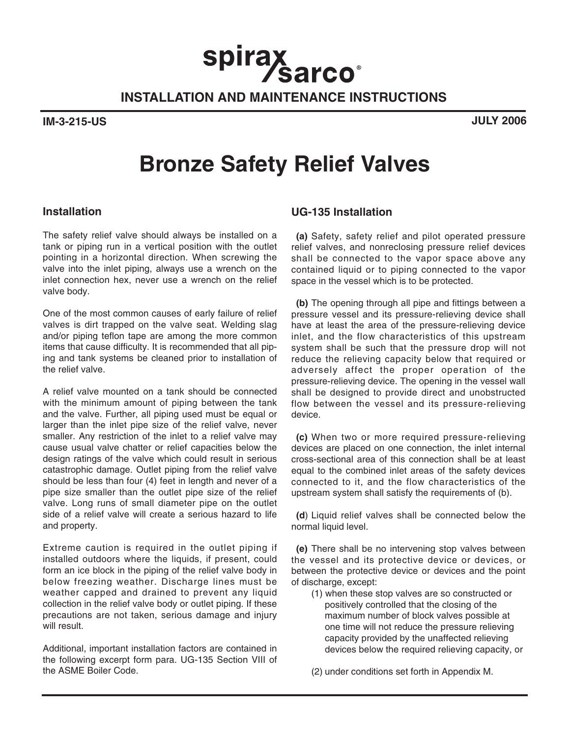**INSTALLATION AND MAINTENANCE INSTRUCTIONS**

spirax<br>Sarco<sup>®</sup>

**IM-3-215-US JULY 2006**

# **Bronze Safety Relief Valves**

## **Installation**

The safety relief valve should always be installed on a tank or piping run in a vertical position with the outlet pointing in a horizontal direction. When screwing the valve into the inlet piping, always use a wrench on the inlet connection hex, never use a wrench on the relief valve body.

One of the most common causes of early failure of relief valves is dirt trapped on the valve seat. Welding slag and/or piping teflon tape are among the more common items that cause difficulty. It is recommended that all piping and tank systems be cleaned prior to installation of the relief valve.

A relief valve mounted on a tank should be connected with the minimum amount of piping between the tank and the valve. Further, all piping used must be equal or larger than the inlet pipe size of the relief valve, never smaller. Any restriction of the inlet to a relief valve may cause usual valve chatter or relief capacities below the design ratings of the valve which could result in serious catastrophic damage. Outlet piping from the relief valve should be less than four (4) feet in length and never of a pipe size smaller than the outlet pipe size of the relief valve. Long runs of small diameter pipe on the outlet side of a relief valve will create a serious hazard to life and property.

Extreme caution is required in the outlet piping if installed outdoors where the liquids, if present, could form an ice block in the piping of the relief valve body in below freezing weather. Discharge lines must be weather capped and drained to prevent any liquid collection in the relief valve body or outlet piping. If these precautions are not taken, serious damage and injury will result.

Additional, important installation factors are contained in the following excerpt form para. UG-135 Section VIII of the ASME Boiler Code.

## **UG-135 Installation**

**(a)** Safety, safety relief and pilot operated pressure relief valves, and nonreclosing pressure relief devices shall be connected to the vapor space above any contained liquid or to piping connected to the vapor space in the vessel which is to be protected.

**(b)** The opening through all pipe and fittings between a pressure vessel and its pressure-relieving device shall have at least the area of the pressure-relieving device inlet, and the flow characteristics of this upstream system shall be such that the pressure drop will not reduce the relieving capacity below that required or adversely affect the proper operation of the pressure-relieving device. The opening in the vessel wall shall be designed to provide direct and unobstructed flow between the vessel and its pressure-relieving device.

**(c)** When two or more required pressure-relieving devices are placed on one connection, the inlet internal cross-sectional area of this connection shall be at least equal to the combined inlet areas of the safety devices connected to it, and the flow characteristics of the upstream system shall satisfy the requirements of (b).

**(d**) Liquid relief valves shall be connected below the normal liquid level.

**(e)** There shall be no intervening stop valves between the vessel and its protective device or devices, or between the protective device or devices and the point of discharge, except:

(1) when these stop valves are so constructed or positively controlled that the closing of the maximum number of block valves possible at one time will not reduce the pressure relieving capacity provided by the unaffected relieving devices below the required relieving capacity, or

(2) under conditions set forth in Appendix M.